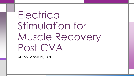# Electrical Stimulation for Muscle Recovery Post CVA

Allison Larson PT, DPT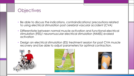# **Objectives**

- Be able to discuss the indications, contraindications/ precautions related to using electrical stimulation post cerebral vascular accident (CVA)
- Differentiate between normal muscle activation and functional electrical stimulation (FES)/ neuromuscular electrical stimulation (NMES) evoked activation
- Design an electrical stimulation (ES) treatment session for post CVA muscle recovery and be able to adjust parameters for optimal contraction.





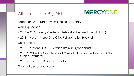# Allison Larson PT, DPT

# **MERCYONE.**

Education: 2010 DPT from Des Moines University

Work Experience

- 2010 2018 Mercy Center for Rehabilitative Medicine (4 North)
- 2018 Present MercyOne Clive Rehabilitation Hospital

**Certifications** 

- 2015 present CBIS Certified Brain Injury Specialist
- 2018 SCCE Site Coordinator of Clinical Education, Advanced APTA Clinical Instructor
- 2019 Level 1 EKSO GT Exoskeleton

Financial disclosures: None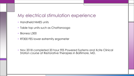#### My electrical stimulation experience

- Handheld NMES units
- Table top units such as Chattanooga
- Bioness L300
- RT300 FES lower extremity ergometer

• Nov 2018 completed 20 hour FES Powered Systems and Xcite Clinical Station course at Restorative Therapies in Baltimore, MD.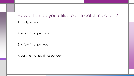#### How often do you utilize electrical stimulation?

1. rarely/ never

2. A few times per month

3. A few times per week

4. Daily to multiple times per day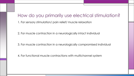#### How do you primarily use electrical stimulation?

1. For sensory stimulation/ pain relief/ muscle relaxation

2. For muscle contraction in a neurologically intact individual

3. For muscle contraction in a neurologically compromised individual

4. For functional muscle contractions with multichannel system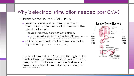#### Why is electrical stimulation needed post CVA?

- Upper Motor Neuron (UMN) injury
	- Results in denervation of muscle due to interruption of the neuronal pathways to the intact motor units
		- causing weakness/ paralysis/ disuse atrophy
			- leading to decreased functional mobility (Doucet, Lam, & Griffin, 2012) (Warfield, McElroy, Baker, Magerfleisch, & Huber, 2018) (Takeda, Tanino, & Miyasaka, 2017)
	- 80% of patients with CVA experience motor impairments (Sabut, Sikdar, Kumar, & Mahadevappa, 2011)

Electrical stimulation (ES) is used throughout the medical field: pacemakers, cochlear implants, deep brain stimulation to reduce Parkinson's tremor, spinal cord stimulators to reduce pain (Takeda, Tanino, & Miyasaka, 2017)

#### Types of Motor Neurons



Upper

Motor

Neuron

(UMN)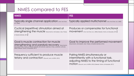# NMES compared to FES

| <b>NMES</b>                                                                                                                                                                                                                                | <b>FES</b>                                                                                                                                                                                         |
|--------------------------------------------------------------------------------------------------------------------------------------------------------------------------------------------------------------------------------------------|----------------------------------------------------------------------------------------------------------------------------------------------------------------------------------------------------|
| Typically single channel application (Yan, Hui-Chan,<br>& Li, 2005)                                                                                                                                                                        | Typically applied multichannel (Yan, Hui-Chan, & Li, 2005)                                                                                                                                         |
| Cyclical (repetitive) stimulation aimed at<br>strengthening the muscle (Nascimento, Michaelsen, Ada, Polese,<br>& Teixeira-Salmela, 2014)                                                                                                  | Produces or compensates for functional<br>MOVement (Yan, Hui-Chan, & Li, 2005) (Takeda, Tanino, & Miyasaka, 2017)                                                                                  |
| Goal is muscle contraction for muscle<br>strengthening and paralysis recovery (Nascimento,<br>Michaelsen, Ada, Polese, & Teixeira-Salmela, 2014) (Kroon, Ijzerman, Chae, Lankhorst, & Zilvold,<br>2005) (Takeda, Tanino, & Miyasaka, 2017) | Goal to improve the performed movement<br>(Nascimento, Michaelsen, Ada, Polese, & Teixeira-Salmela, 2014)                                                                                          |
| Frequency sufficient to produce muscle<br>tetany and contraction (Doucet, Lam, & Griffin, 2012)                                                                                                                                            | Pairing NMES simultaneously or<br>intermittently with a functional task,<br>adjusting NMES to the timing of functional<br>MOTION (Doucet, Lam, & Griffin, 2012) (Takeda, Tanino, & Miyasaka, 2017) |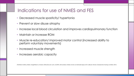#### Indications for use of NMES and FES

- Decreased muscle spasticity/ hypertonia
- Prevent or slow disuse atrophy
- Increase local blood circulation and improves cardiopulmonary function
- Maintain or increase ROM
- Muscle re-education/ improved motor control (increased ability to perform voluntary movements)
- Increased muscle strength
- Increases aerobic capacity

(Warfield, McElroy, Baker, Magerfleisch, & Huber, 2018) (Doucet, Lam, & Griffin, 2012) (Sabut, Sikdar, Kumar, & Mahadevappa, 2011) (Bauer, Krewer, Golaszewski, Koenig, & Müller, 2015)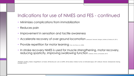# Indications for use of NMES and FES - continued

- Minimizes complications from immobilization
- Reduces pain
- Improvement in sensation and tactile awareness
- Accelerate recovery of over ground locomotion (Ambrosini, Ferrante, Ferrigno, Molteni, & Pedrocchi, 2011)
- Provide repetition for motor learning (Yan, Hui-Chan, & Li, 2005)
- In stroke recovery NMES is used for muscle strengthening, motor recovery, reducing spasticity, improving swallowing function (Takeda, Tanino, & Miyasaka, 2017)

(Warfield, McElroy, Baker, Magerfleisch, & Huber, 2018) (Doucet, Lam, & Griffin, 2012) (Sabut, Sikdar, Kumar, & Mahadevappa, 2011) (Bauer, Krewer, Golaszewski, Koenig, & Müller, 2015)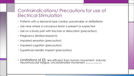#### Contraindications/ Precautions for use of Electrical Stimulation

- Patients with a demand-type cardiac pacemaker or defibrillator
- Use near where a cancerous lesion is present or suspected
- Use on a body part with fracture or dislocation (precaution)
- Pregnancy (limited research)
- Impaired sensation (precaution)
- Impaired cognition (precaution)
- Superficial metallic implant (precaution)
- Limitations of ES: less efficient than human movement, induces neuromuscular fatigue, uncoordinated movement (Doucet, Lam, & Griffin, 2012)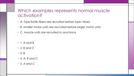#### Which examples represents normal muscle activation?

- A. type lla/llb fibers are recruited before type l fibers
- B. smaller motor units are recruited before larger motor units
- C. muscle units are recruited in synchrony
- 1. A and B
- 2. B and C
- 3. B
- 4. A, B and C
- 5. A and C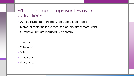#### Which examples represent ES evoked activation?

- A. type lla/llb fibers are recruited before type l fibers
- B. smaller motor units are recruited before larger motor units
- C. muscle units are recruited in synchrony
- 1. A and B
- 2. B and C
- 3. B
- 4. A, B and C
- 5. A and C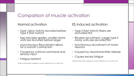#### Comparison of muscle activation

#### Normal activation

- Iype I (slow twitch) recruited before Type ll (fast twitch)
- Size principle applies: smaller motor units are recruited before larger
- Asynchronous Recruitment allows for a smooth contraction
- Caused by cortical command and sensory input
- Fatigue resistant

(Warfield, McElroy, Baker, Magerfleisch, & Huber, 2018)(Doucet, Lam, & Griffin, 2012)

ES induced activation

- Type II (fast twitch) fibers are activated first
- Reverse recruitment: Larger type II motor units are recruited first
- Synchronous recruitment of motor neurons
- Caused by neurotransmitter release
- Causes excess fatigue

(Warfield, McElroy, Baker, Magerfleisch, & Huber, 2018)(Doucet, Lam, & Griffin, 2012)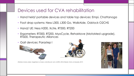#### Devices used for CVA rehabilitation

- Hand held/ portable devices and table top devices: Empi, Chattanoga
- Foot drop systems: Ness L300, L300 Go, WalkAide, Odstock O2CHS
- Hand/ UE: Ness H200, Xcite, RT300, RT200
- Ergometers: RT300, RT200, MyoCycle, RehaMove (MotoMed upgrade), RT600, Therapeutic Alliances
- Gait devices: Parastep l





(Warfield, McElroy, Baker, Magerfleisch, & Huber, 2018) (Doucet, Lam, & Griffin, 2012) (Takeda, Tanino, & Miyasaka, 2017)

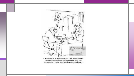

"It was more of a 'triple-blind' test. The patients didn't know which ones were getting the real drug, the doctors didn't know, and, I'm afraid nobody knew."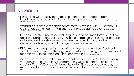#### Research

- FES cycling with "visibly good muscle contraction" reduced both impairments and activity limitations in hemiparetic patients. (Ambrosini, Ferrante, Ferrigno, Molteni, & Pedrocchi, 2011)
- Walking ability improved significantly more in cycling with ES vs without ES. Gait rehab combined with FES shows enhanced gait recovery. (Bauer, Krewer, Golaszewski, Koenig, & Müller, 2015)
- ES can be customized to control fatigue and to optimize force output by adjusting parameters. During ES muscle contraction sensory fibers are also activated and has shown improvements in sensation and tactile awareness following motor ES program. (Doucet, Lam, & Griffin, 2012)
- ES for muscle strengthening must elicit a muscle contraction. Electrical stimulation combined with progressive resistance training is recommended for patients with neurologically induced weakness. (Glinsky, Harvey, & Es, 2007)
- An optimal response to ES is muscle contraction, motion/ full joint motion was achieved by a variety of parameters. Muscle contraction is the crucial effect of ES to obtain benefits. Motor ES produces cutaneous, muscle, and joint proprioceptive afferent feedback. (Kroon, Ijzerman, Chae, Lankhorst, & Zilvold, 2005)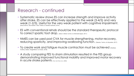#### Research - continued

- Systematic review shows ES can increase strength and improve activity after stroke. ES can be effectively applied to the weak (3-4/5) and very weak (1-2/5). Useful for the very weak patient with cognitive impairment. (Nascimento, Michaelsen, Ada, Polese, & Teixeira-Salmela, 2014)
- ES with conventional rehab should be the standard therapeutic protocol to correct spastic foot drop. (Sabut, Sikdar, Kumar, & Mahadevappa, 2011)
- NMES can be used post CVA for muscle strengthening, motor recovery, reducing spasticity, and improving swallowing function. (Takeda, Tanino, & Miyasaka, 2017)
- To create work and fatigue muscle contraction must be achieved (Warfield, McElroy, Baker, Magerfleisch, & Huber, 2018)
- A study comparing FES to sham stimulation resulted in the FES group demonstrating improved functional mobility and improved motor recovery in acute stroke patients (Yan, Hui-Chan, & Li, 2005)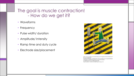#### The goal is muscle contraction! - How do we get it?

- Waveforms
- Frequency
- Pulse width/ duration
- Amplitude/ Intensity
- Ramp time and duty cycle
- Electrode size/placement



https://www.google.com/url?sa=i&source=images&cd=&cad=rja&uact= 8&ved=2ahUKEwix6 qXy6PgAhUT0IMKHb\_mBj04ZBAzKEYwRnoECAEQRw&url=http%3A%2F%2Fr unhikeasia.com%2Ftrying-electro-muscle-stimulationems%2F&psig=AOvVaw383sqZ0dkY2B3- WzpTSvb3&ust=1549421451028070&ictx=3&uact=3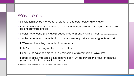#### Waveforms

- Stimulation may be monophasic, biphasic, and burst (polyphasic) waves
- Rectangular waves, Sine waves, biphasic waves can be symmetrical/asymmetrical or balanced/ unbalanced
- Studies have found Sine wave produce greater strength with less pain (Doucet, Lam, & Griffin, 2012)
- Studies have found monophasic or biphasic waves produce less fatigue than burst
- RT300 uses alternating monophasic waveform
- RehaStim uses rectangular biphasic waveform
- Bioness uses balanced biphasic in symmetrical or asymmetrical waveform
- Bottom line: the marketed devices have been FDA approved and have chosen the parameters that work best for the device.

(Warfield, McElroy, Baker, Magerfleisch, & Huber, 2018) (Takeda, Tanino, & Miyasaka, 2017)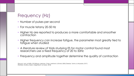# Frequency (Hz)

- Number of pulses per second
- For muscle tetany 20-50 Hz
- Higher Hz are reported to produces a more comfortable and smoother contraction
- Higher frequency can increase fatigue, the parameter most greatly tied to fatigue when studied
- A literature review of trials studying ES for motor control found most researchers use a fixed frequency of 20 to 50Hz
- Frequency and amplitude together determine the quality of contraction

(Doucet, Lam, & Griffin, 2012)(Kroon, Ijzerman, Chae, Lankhorst, & Zilvold, 2005) (Takeda, Tanino, & Miyasaka, 2017) (Warfield, McElroy, Baker, Magerfleisch, & Huber, 2018)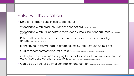#### Pulse width/duration

- Duration of each pulse in microseconds (µs)
- Wider pulse width produce stronger contractions (Doucet, Lam, & Griffin, 2012)
- Wider pulse width will penetrate more deeply into subcutaneous tissue poweet, Lam, & Griffin, 2012)
- Pulse width can be increased to recruit more fibers in an area as fatigue ensues (Doucet, Lam, & Griffin, 2012)
- Higher pulse width will lead to greater overflow into surrounding muscles
- Studies report comfort greatest at 200-300µs (Kroon, Ijzerman, Chae, Lankhorst, & Zilvold, 2005)
- A literature review of trials studying ES for motor control found most researchers use a fixed pulse duration of 200 to 300us (Kroon, Ijzerman, Chae, Lankhorst, & Zilvold, 2005)
- Can be adjusted for optimal contraction and comfort (Kroon, Ijzerman, Chae, Lankhorst, & Zilvold, 2005)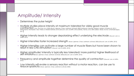# Amplitude/ Intensity

- Determines the pulse height
- Multiple studies place intensity at maximum tolerated for visibly good muscle CONTROCTION (Yan, Hui-Chan, & Li, 2005) (Kroon, Ijzerman, Chae, Lankhorst, & Zilvold, 2005) (Ambrosini, Ferrante, Ferrigno, Molteni, & Pedrocchi, 2011)<br>(Nasçimento, Michaelsen, Ada, Polese, & Teixeira-Salmela, 2014) (Douce <sup>2011</sup>)
- Higher intensity leads to stronger depolarizing effect underlying the electrode (Doucet, Lam, & Griffin, 2012)
- Higher intensities foster increased strength (Kroon, Ijzerman, Chae, Lankhorst, & Zilvold, 2005) (Doucet, Lam, & Griffin, 2012)
- Higher intensities can activate a large number of muscle fibers but have been shown to result in less CNS stimulation (Doucet, Lam, & Griffin, 2012)
- Higher amplitude/ intensity is typically less tolerated/ more painful/ higher likelihood of SKIN IITITATION(Kroon, Ijzerman, Chae, Lankhorst, & Zilvold, 2005) (Doucet, Lam, & Griffin, 2012)
- Frequency and amplitude together determine the quality of contraction (Doucet, Lam, & Griffin, 2012)
- Low intensity will evoke a sensory reaction without a motor reaction, can be use to reduce spasticity (Kroon, Ijzerman, Chae, Lankhorst, & Zilvold, 2005)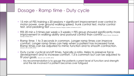#### Dosage - Ramp time - Duty cycle

- 15 min of FES training x 20 sessions = significant improvement over control in motor power, over ground walking speed, trunk control test, motor control test, and pedaling test (Ambrosini, Ferrante, Ferrigno, Molteni, & Pedrocchi, 2011)
- FES 20 min x 3 times per week x 3 weeks = FES group showed significantly more improvement in walking ability and postural control than control (Bauer, Krewer, Golaszewski, Koenig, & Müller, 2015)
- Ramp time: 1 to 3 seconds in common. Longer ramp times can improve comfort. Longer ramp times can help when a patient has increased tone. Ramp times can be adjusted to mimic function and to smooth contraction. (Doucet, Lam, & Griffin, 2012)
- Duty cycle: cyclical on/off times, typically a ratio. Helps to preserve force development and to increase comfort. 1:3 is common but can be adjusted to fit your goals. (Doucet, Lam, & Griffin, 2012)
	- My recommendation is to gauge the patients current level of function and strength and the risk involved if a patient becomes over fatigued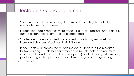#### Electrode size and placement

- Success of stimulation reaching the muscle tissue is highly related to electrode size and placement
- Larger electrode = reaches more muscle tissue, decreased current density due to current being spread over a larger area
- Smaller electrode = concentrates current, more focal, less overflow, increased chances of pain and skin irritation
- Placement: will increase the muscle response. Debate in the research between using muscle belly or motor point. Muscle belly is easier, more reproducible, and quicker… but motor point (located through stimulation) produces higher torque, more blood flow, and greater oxygen usage.

(Doucet, Lam, & Griffin, 2012)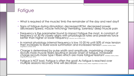# Fatigue

- What is required of the muscle/ limb the remainder of the day and next day?
- Signs of fatigue during stimulation: decreased ROM, decreased power, decreased speed, muscle twitching/ trembling, soreness/ deep muscle pain
- Frequency is the parameter found to impact fatigue the most. A constant of frequency of 30 Hz closely aligns with physiological rates and preserves force better than higher or lower frequency (Doucet, Lam, & Griffin, 2012)
- In normal physiology internal frequency is low 10-20 Hz until 50% of max tension then increases to build wave summation and increased tension (Warfield, McElroy, Baker, Magerfleisch, & Huber, 2018)
- Charge is determined by pulse width and amplitude, maximizing charge recruits more muscle fibers resulting in slower onset of fatigue. Increased charge recruits more type l fibers which are more fatigue resistant (Warfield, McElroy, Baker, Magerfleisch, & Huber, 2018)
- Fatigue is NOT bad. Fatigue is often the goal! As fatigue is reached over multiple sessions recovery time will decrease (Warfield, McElroy, Baker, Magerfleisch, & Huber, 2018)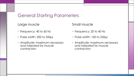# General Starting Parameters

#### Large muscle

- Frequency: 40 to 60 Hz
- Pulse width: 200 to 350µs
- Amplitude: maximum necessary and tolerated for muscle contraction

Small muscle

- Frequency: 20 to 40 Hz
- Pulse width: 100 to 250µs
- Amplitude: maximum necessary and tolerated for muscle contraction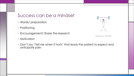# Success can be a mindset

- Words/ preparation
- Positioning
- Encouragement/ Share the research
- Motivation
- Don't say "Tell me when it hurts" that leads the patient to expect and anticipate pain



```
shutterstock.com · 1071755798
```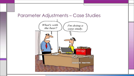#### Parameter Adjustments – Case Studies

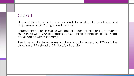# Case 1

Electrical Stimulation to the anterior tibialis for treatment of weakness/ foot drop. Wears an AFO for gait and mobility.

Parameters: patient in supine with bolster under posterior ankle, frequency 30 Hz, Pulse width 250, electrodes 2 x 3.5 applied to anterior tibialis, 15 sec on/ 30 sec off with 2 sec ramp

Result: as amplitude increases ant tib contraction noted, but ROM is in the direction of PF instead of DF. No c/o discomfort.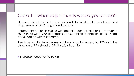Electrical Stimulation to the anterior tibialis for treatment of weakness/ foot drop. Wears an AFO for gait and mobility.

Parameters: patient in supine with bolster under posterior ankle, frequency 30 Hz, Pulse width 250, electrodes 2 x 3.5 applied to anterior tibialis, 15 sec on/ 30 sec off with 2 sec ramp

Result: as amplitude increases ant tib contraction noted, but ROM is in the direction of PF instead of DF. No c/o discomfort.

• Increase frequency to 60 Hz?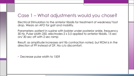Electrical Stimulation to the anterior tibialis for treatment of weakness/ foot drop. Wears an AFO for gait and mobility.

Parameters: patient in supine with bolster under posterior ankle, frequency 30 Hz, Pulse width 250, electrodes 2 x 3.5 applied to anterior tibialis, 15 sec on/ 30 sec off with 2 sec ramp

Result: as amplitude increases ant tib contraction noted, but ROM is in the direction of PF instead of DF. No c/o discomfort.

• Decrease pulse width to 150?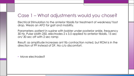Electrical Stimulation to the anterior tibialis for treatment of weakness/ foot drop. Wears an AFO for gait and mobility.

Parameters: patient in supine with bolster under posterior ankle, frequency 30 Hz, Pulse width 250, electrodes 2 x 3.5 applied to anterior tibialis, 15 sec on/ 30 sec off with 2 sec ramp

Result: as amplitude increases ant tib contraction noted, but ROM is in the direction of PF instead of DF. No c/o discomfort.

• Move electrodes?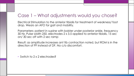Electrical Stimulation to the anterior tibialis for treatment of weakness/ foot drop. Wears an AFO for gait and mobility.

Parameters: patient in supine with bolster under posterior ankle, frequency 30 Hz, Pulse width 250, electrodes 2 x 3.5 applied to anterior tibialis, 15 sec on/ 30 sec off with 2 sec ramp

Result: as amplitude increases ant tib contraction noted, but ROM is in the direction of PF instead of DF. No c/o discomfort.

• Switch to 2 x 2 electrodes?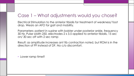Electrical Stimulation to the anterior tibialis for treatment of weakness/ foot drop. Wears an AFO for gait and mobility.

Parameters: patient in supine with bolster under posterior ankle, frequency 30 Hz, Pulse width 250, electrodes 2 x 3.5 applied to anterior tibialis, 15 sec on/ 30 sec off with 2 sec ramp

Result: as amplitude increases ant tib contraction noted, but ROM is in the direction of PF instead of DF. No c/o discomfort.

• Lower ramp time?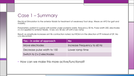#### Case 1 – Summary

Electrical Stimulation to the anterior tibialis for treatment of weakness/ foot drop. Wears an AFO for gait and mobility.

Parameters: patient in supine with bolster under posterior ankle, frequency 30 Hz, Pulse width 250, electrodes 2 x 3.5 applied to anterior tibialis, 15 sec on/ 30 sec off with 2 sec ramp

Result: as amplitude increases ant tib contraction noted, but ROM is in the direction of PF instead of DF. No c/o discomfort.

| Yes – in order of approach  | <b>No</b>                   |
|-----------------------------|-----------------------------|
| Move electrodes             | Increase Frequency to 60 Hz |
| Decrease pulse width to 150 | Lower ramp time             |
| Switch to 2 x 2 electrodes  |                             |

• How can we make this more active/functional?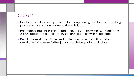# Case 2

- Electrical stimulation to quadricep for strengthening due to patient lacking positive support in stance due to strength 1/5.
- Parameters: patient in sitting, Frequency 40Hz, Pulse width 250, electrodes 2 x 3.5, applied to quadricep, 10 sec on/ 20 sec off with 3 sec ramp
- Result: as amplitude is increased patient c/o pain and will not allow amplitude to increase further just as muscle begins to fasciculate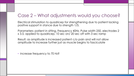Electrical stimulation to quadricep for strengthening due to patient lacking positive support in stance due to strength 1/5.

Parameters: patient in sitting, Frequency 40Hz, Pulse width 250, electrodes 2 x 3.5, applied to quadricep, 10 sec on/ 20 sec off with 3 sec ramp

Result: as amplitude is increased patient c/o pain and will not allow amplitude to increase further just as muscle begins to fasciculate

• Increase frequency to 70 Hz?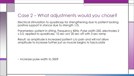Electrical stimulation to quadricep for strengthening due to patient lacking positive support in stance due to strength 1/5.

Parameters: patient in sitting, Frequency 40Hz, Pulse width 250, electrodes 2 x 3.5, applied to quadricep, 10 sec on/ 20 sec off with 3 sec ramp

Result: as amplitude is increased patient c/o pain and will not allow amplitude to increase further just as muscle begins to fasciculate

• Increase pulse width to 350?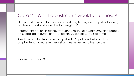Electrical stimulation to quadricep for strengthening due to patient lacking positive support in stance due to strength 1/5.

Parameters: patient in sitting, Frequency 40Hz, Pulse width 250, electrodes 2 x 3.5, applied to quadricep, 10 sec on/ 20 sec off with 3 sec ramp

Result: as amplitude is increased patient c/o pain and will not allow amplitude to increase further just as muscle begins to fasciculate

• Move electrodes?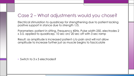Electrical stimulation to quadricep for strengthening due to patient lacking positive support in stance due to strength 1/5.

Parameters: patient in sitting, Frequency 40Hz, Pulse width 250, electrodes 2 x 3.5, applied to quadricep, 10 sec on/ 20 sec off with 3 sec ramp

Result: as amplitude is increased patient c/o pain and will not allow amplitude to increase further just as muscle begins to fasciculate

• Switch to 3 x 5 electrodes?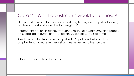Electrical stimulation to quadricep for strengthening due to patient lacking positive support in stance due to strength 1/5.

Parameters: patient in sitting, Frequency 40Hz, Pulse width 250, electrodes 2 x 3.5, applied to quadricep, 10 sec on/ 20 sec off with 3 sec ramp

Result: as amplitude is increased patient c/o pain and will not allow amplitude to increase further just as muscle begins to fasciculate

• Decrease ramp time to 1 sec?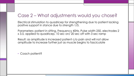Electrical stimulation to quadricep for strengthening due to patient lacking positive support in stance due to strength 1/5.

Parameters: patient in sitting, Frequency 40Hz, Pulse width 250, electrodes 2 x 3.5, applied to quadricep, 10 sec on/ 20 sec off with 3 sec ramp

Result: as amplitude is increased patient c/o pain and will not allow amplitude to increase further just as muscle begins to fasciculate

• Coach patient?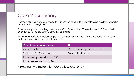#### Case 2 - Summary

Electrical stimulation to quadricep for strengthening due to patient lacking positive support in stance due to strength 1/5.

Parameters: patient in sitting, Frequency 40Hz, Pulse width 250, electrodes 2 x 3.5, applied to quadricep, 10 sec on/ 20 sec off with 3 sec ramp

Result: as amplitude is increased patient c/o pain and will not allow amplitude to increase further just as muscle begins to fasciculate

| Yes – in order of approach   | <b>No</b>                   |
|------------------------------|-----------------------------|
| Coach patient                | Decrease ramp time to 1 sec |
| Switch to 3 x 5 electrodes   | Move electrodes             |
| Increased pulse width to 350 |                             |
| Increase frequency to 70 Hz  |                             |

• How can we make this more active/functional?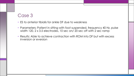# Case 3

- ES to anterior tibialis for ankle DF due to weakness
- Parameters: Patient in sitting with foot suspended, frequency 40 Hz, pulse width 120, 2 x 3.5 electrodes, 10 sec on/ 20 sec off with 2 sec ramp
- Results: Able to achieve contraction with ROM into DF but with excess inversion or eversion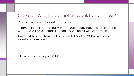ES to anterior tibialis for ankle DF due to weakness

Parameters: Patient in sitting with foot suspended, frequency 40 Hz, pulse width 120, 2 x 3.5 electrodes, 10 sec on/ 20 sec off with 2 sec ramp

Results: Able to achieve contraction with ROM into DF but with excess inversion or eversion

• Increase frequency to 80Hz?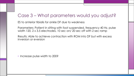ES to anterior tibialis for ankle DF due to weakness

Parameters: Patient in sitting with foot suspended, frequency 40 Hz, pulse width 120, 2 x 3.5 electrodes, 10 sec on/ 20 sec off with 2 sec ramp

Results: Able to achieve contraction with ROM into DF but with excess inversion or eversion

• Increase pulse width to 200?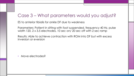ES to anterior tibialis for ankle DF due to weakness

Parameters: Patient in sitting with foot suspended, frequency 40 Hz, pulse width 120, 2 x 3.5 electrodes, 10 sec on/ 20 sec off with 2 sec ramp

Results: Able to achieve contraction with ROM into DF but with excess inversion or eversion

• Move electrodes?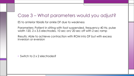ES to anterior tibialis for ankle DF due to weakness

Parameters: Patient in sitting with foot suspended, frequency 40 Hz, pulse width 120, 2 x 3.5 electrodes, 10 sec on/ 20 sec off with 2 sec ramp

Results: Able to achieve contraction with ROM into DF but with excess inversion or eversion

• Switch to 2 x 2 electrodes?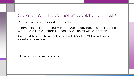ES to anterior tibialis for ankle DF due to weakness

Parameters: Patient in sitting with foot suspended, frequency 40 Hz, pulse width 120, 2 x 3.5 electrodes, 10 sec on/ 20 sec off with 2 sec ramp

Results: Able to achieve contraction with ROM into DF but with excess inversion or eversion

• Increase ramp time to 4 sec?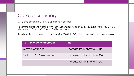#### Case 3 - Summary

ES to anterior tibialis for ankle DF due to weakness

Parameters: Patient in sitting with foot suspended, frequency 40 Hz, pulse width 120, 2 x 3.5 electrodes, 10 sec on/ 20 sec off with 2 sec ramp

Results: Able to achieve contraction with ROM into DF but with excess inversion or eversion

| Yes – In order of approach | <b>No</b>                    |
|----------------------------|------------------------------|
| Move electrodes            | Increase frequency to 80 Hz  |
| Switch to 2 x 2 electrodes | Increased pulse width to 200 |
|                            | Increase ramp time to 4 sec  |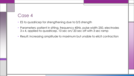#### Case 4

- ES to quadricep for strengthening due to 0/5 strength
- Parameters: patient in sitting, frequency 40Hz, pulse width 250, electrodes 3 x 4, applied to quadricep, 10 sec on/ 20 sec off with 3 sec ramp
- Result: increasing amplitude to maximum but unable to elicit contraction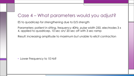ES to quadricep for strengthening due to 0/5 strength

Parameters: patient in sitting, frequency 40Hz, pulse width 250, electrodes 3 x 4, applied to quadricep, 10 sec on/ 20 sec off with 3 sec ramp

Result: increasing amplitude to maximum but unable to elicit contraction

• Lower Frequency to 10 Hz?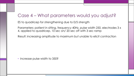ES to quadricep for strengthening due to 0/5 strength

Parameters: patient in sitting, frequency 40Hz, pulse width 250, electrodes 3 x 4, applied to quadricep, 10 sec on/ 20 sec off with 3 sec ramp

Result: increasing amplitude to maximum but unable to elicit contraction

• Increase pulse width to 350?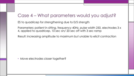ES to quadricep for strengthening due to 0/5 strength

Parameters: patient in sitting, frequency 40Hz, pulse width 250, electrodes 3 x 4, applied to quadricep, 10 sec on/ 20 sec off with 3 sec ramp

Result: increasing amplitude to maximum but unable to elicit contraction

• Move electrodes closer together?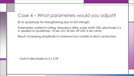ES to quadricep for strengthening due to 0/5 strength

Parameters: patient in sitting, frequency 40Hz, pulse width 250, electrodes 3 x 4, applied to quadricep, 10 sec on/ 20 sec off with 3 sec ramp

Result: increasing amplitude to maximum but unable to elicit contraction

• Switch electrodes to 2 x 3.5?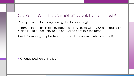ES to quadricep for strengthening due to 0/5 strength

Parameters: patient in sitting, frequency 40Hz, pulse width 250, electrodes 3 x 4, applied to quadricep, 10 sec on/ 20 sec off with 3 sec ramp

Result: increasing amplitude to maximum but unable to elicit contraction

• Change position of the leg?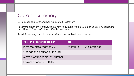#### Case 4 - Summary

ES to quadricep for strengthening due to 0/5 strength

Parameters: patient in sitting, frequency 40Hz, pulse width 250, electrodes 3 x 4, applied to quadricep, 10 sec on/ 20 sec off with 3 sec ramp

Result: increasing amplitude to maximum but unable to elicit contraction

| Yes – in order of approach      | <b>No</b>                    |
|---------------------------------|------------------------------|
| Increase pulse width to 350     | Switch to 2 x 3.5 electrodes |
| Change the position of the leg  |                              |
| Move electrodes closer together |                              |
| Lower frequency to 10 Hz        |                              |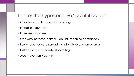## Tips for the hypersensitive/ painful patient

- Coach stress the benefit, encourage
- Increase frequency
- Increase ramp time
- Step wise increase in amplitude until reaching contraction
- Larger electrodes to spread the intensity over a larger area
- Distraction: music, family, story telling
- Add movement/ activity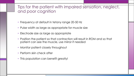#### Tips for the patient with impaired sensation, neglect, and poor cognition

- Frequency at default in tetany range 20-50 Hz
- Pulse width as large as appropriate for muscle size
- Electrode size as large as appropriate
- Position the patient so that contraction will result in ROM and so that patient can see the muscle, use mirror if needed
- Monitor patient closely throughout
- Perform skin check after
- This population can benefit greatly!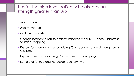#### Tips for the high level patient who already has strength greater than 3/5

- Add resistance
- Add movement
- Multiple channels
- Change position to pair to patients impaired mobility stance support/ sit to stand/ stepping
- Explore functional devices or adding ES to reps on standard strengthening equipment
- Explore home device/ using ES as a home exercise program
- Beware of fatigue and increased recovery time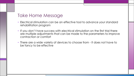#### Take Home Message

- Electrical stimulation can be an effective tool to advance your standard rehabilitation program
- If you don't have success with electrical stimulation on the first trial there are multiple adjustments that can be made to the parameters to improve contraction or comfort
- There are a wide variety of devices to choose from It does not have to be fancy to be effective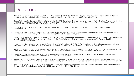#### References

- Ambrosini, E., Ferrante, S., Ferrigno, G., Molteni, F., & Pedrocchi, A. (2011). Cycling Induced by Electrical Stimulation Improves Muscle Activation and Symmetry During Pedaling in Hemiparetic Patients. *Stroke,42*, 1068-1073. doi:10.1161/STROKEAHA.110.599068
- Bauer, P., Krewer, C., Golaszewski, S., Koenig, E., & Müller, F. (2015). Functional Electrical Stimulation–Assisted Active Cycling—Therapeutic Effects in Patients With Hemiparesis From 7 Days to 6 Months After Stroke: A Randomized Controlled Pilot Study. *Archives of Physical Medicine and Rehabilitation,96*(2), 188-196. doi:10.1016/j.apmr.2014.09.033
- Doucet, B. M., Lam, A., & Griffin, L. (2012). Neuromuscular Electrical Stimulation for Skeletal Muscle Function. *Yale Journal of Biology and Medicine,85*, 201-215.
- Glinsky, J., Harvey, L., & Es, P. V. (2007). Efficacy of electrical stimulation to increase muscle strength in people with neurological conditions: A systematic review. *Physiotherapy Research International,12*(3), 175-194. doi:10.1002/pri.375
- Kroon, J. D., Ijzerman, M., Chae, J., Lankhorst, G., & Zilvold, G. (2005). Relation Between Stimulation Characteristics And Clinical Outcome In Studies Using Electrical Stimulation To Improve Motor Control Of The Upper Extremity In Stroke. *Journal of Rehabilitation Medicine,37*(2), 65-74. doi:10.1080/16501970410024190
- Nascimento, L. R., Michaelsen, S. M., Ada, L., Polese, J. C., & Teixeira-Salmela, L. F. (2014). Cyclical electrical stimulation increases strength and improves activity after stroke: A systematic review. *Journal of Physiotherapy,60*(1), 22-30. doi:10.1016/j.jphys.2013.12.002
- Sabut, S. K., Sikdar, C., Kumar, R., & Mahadevappa, M. (2011). Functional electrical stimulation of dorsiflexor muscle: Effects on dorsiflexor strength, plantarflexor spasticity, and motor recovery in stroke patients. *NeuroRehabilitation,29*, 393-400. doi:10.3233/NRE-2011-0717
- Takeda, K., Tanino, G., & Miyasaka, H. (2017). Review of devices used in neuromuscular electrical stimulation for stroke rehabilitation. *Medical Devices: Evidence and Research,Volume 10*, 207-213. doi:10.2147/mder.s123464
- Warfield, W., OTR/L, McElroy, T., PTA, ACS, Baker, R., PT, DPT, Magerfleisch, L., PT, DPT, & Huber, S., OTR/L. (2018, November 29). *FES Powered Systems and Xcite Clinical Station*. Lecture presented at FES Powered Systems Course and Xcite Clinical Station in Restorative Therapies, Inc, Baltimore, MD.
- Yan, T., Hui-Chan, C. W., & Li, L. S. (2005). Functional Electrical Stimulation Improves Motor Recovery of the Lower Extremity and Walking Ability of Subjects With First Acute Stroke. *Stroke,36*(1), 80-85. doi:10.1161/01.str.0000149623.24906.63